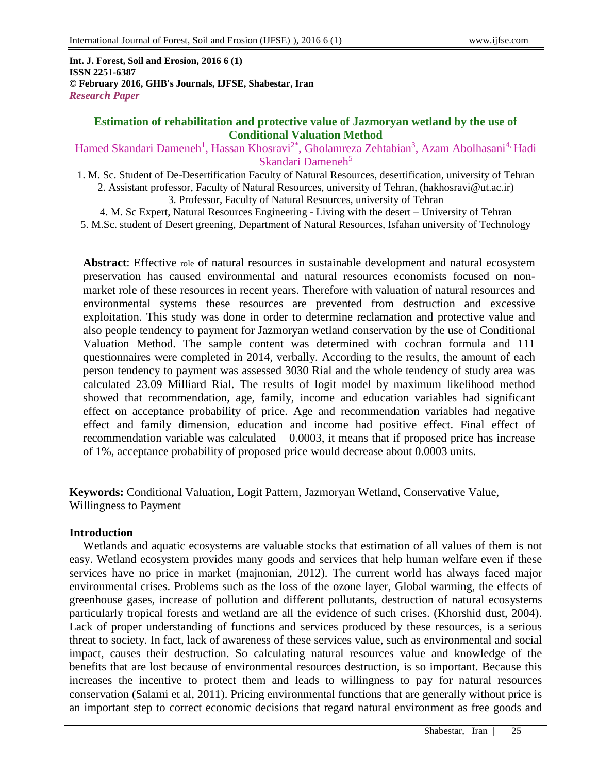**Int. J. Forest, Soil and Erosion, 2016 6 (1) ISSN 2251-6387 © February 2016, GHB's Journals, IJFSE, Shabestar, Iran** *Research Paper*

#### **Estimation of rehabilitation and protective value of Jazmoryan wetland by the use of Conditional Valuation Method**

Hamed Skandari Dameneh<sup>1</sup>, Hassan Khosravi<sup>2\*</sup>, Gholamreza Zehtabian<sup>3</sup>, Azam Abolhasani<sup>4,</sup> Hadi Skandari Dameneh<sup>5</sup>

- 1. M. Sc. Student of De-Desertification Faculty of Natural Resources, desertification, university of Tehran 2. Assistant professor, Faculty of Natural Resources, university of Tehran, [\(hakhosravi@ut.ac.ir\)](mailto:hakhosravi@ut.ac.ir) 3. Professor, Faculty of Natural Resources, university of Tehran
- 4. M. Sc Expert, Natural Resources Engineering Living with the desert University of Tehran 5. M.Sc. student of Desert greening, Department of Natural Resources, Isfahan university of Technology

**Abstract**: Effective role of natural resources in sustainable development and natural ecosystem preservation has caused environmental and natural resources economists focused on nonmarket role of these resources in recent years. Therefore with valuation of natural resources and environmental systems these resources are prevented from destruction and excessive exploitation. This study was done in order to determine reclamation and protective value and also people tendency to payment for Jazmoryan wetland conservation by the use of Conditional Valuation Method. The sample content was determined with cochran formula and 111 questionnaires were completed in 2014, verbally. According to the results, the amount of each person tendency to payment was assessed 3030 Rial and the whole tendency of study area was calculated 23.09 Milliard Rial. The results of logit model by maximum likelihood method showed that recommendation, age, family, income and education variables had significant effect on acceptance probability of price. Age and recommendation variables had negative effect and family dimension, education and income had positive effect. Final effect of recommendation variable was calculated  $-0.0003$ , it means that if proposed price has increase of 1%, acceptance probability of proposed price would decrease about 0.0003 units.

**Keywords:** Conditional Valuation, Logit Pattern, Jazmoryan Wetland, Conservative Value, Willingness to Payment

### **Introduction**

Wetlands and aquatic ecosystems are valuable stocks that estimation of all values of them is not easy. Wetland ecosystem provides many goods and services that help human welfare even if these services have no price in market (majnonian, 2012). The current world has always faced major environmental crises. Problems such as the loss of the ozone layer, Global warming, the effects of greenhouse gases, increase of pollution and different pollutants, destruction of natural ecosystems particularly tropical forests and wetland are all the evidence of such crises. (Khorshid dust, 2004). Lack of proper understanding of functions and services produced by these resources, is a serious threat to society. In fact, lack of awareness of these services value, such as environmental and social impact, causes their destruction. So calculating natural resources value and knowledge of the benefits that are lost because of environmental resources destruction, is so important. Because this increases the incentive to protect them and leads to willingness to pay for natural resources conservation (Salami et al, 2011). Pricing environmental functions that are generally without price is an important step to correct economic decisions that regard natural environment as free goods and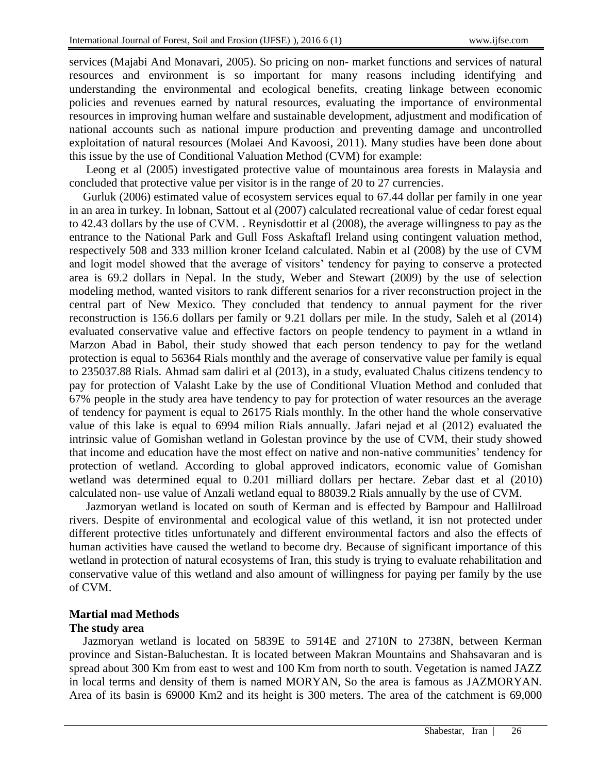services (Majabi And Monavari, 2005). So pricing on non- market functions and services of natural resources and environment is so important for many reasons including identifying and understanding the environmental and ecological benefits, creating linkage between economic policies and revenues earned by natural resources, evaluating the importance of environmental resources in improving human welfare and sustainable development, adjustment and modification of national accounts such as national impure production and preventing damage and uncontrolled exploitation of natural resources (Molaei And Kavoosi, 2011). Many studies have been done about this issue by the use of Conditional Valuation Method (CVM) for example:

Leong et al (2005) investigated protective value of mountainous area forests in Malaysia and concluded that protective value per visitor is in the range of 20 to 27 currencies.

Gurluk (2006) estimated value of ecosystem services equal to 67.44 dollar per family in one year in an area in turkey. In lobnan, Sattout et al (2007) calculated recreational value of cedar forest equal to 42.43 dollars by the use of CVM. . Reynisdottir et al (2008), the average willingness to pay as the entrance to the National Park and Gull Foss Askaftafl Ireland using contingent valuation method, respectively 508 and 333 million kroner Iceland calculated. Nabin et al (2008) by the use of CVM and logit model showed that the average of visitors' tendency for paying to conserve a protected area is 69.2 dollars in Nepal. In the study, Weber and Stewart (2009) by the use of selection modeling method, wanted visitors to rank different senarios for a river reconstruction project in the central part of New Mexico. They concluded that tendency to annual payment for the river reconstruction is 156.6 dollars per family or 9.21 dollars per mile. In the study, Saleh et al (2014) evaluated conservative value and effective factors on people tendency to payment in a wtland in Marzon Abad in Babol, their study showed that each person tendency to pay for the wetland protection is equal to 56364 Rials monthly and the average of conservative value per family is equal to 235037.88 Rials. Ahmad sam daliri et al (2013), in a study, evaluated Chalus citizens tendency to pay for protection of Valasht Lake by the use of Conditional Vluation Method and conluded that 67% people in the study area have tendency to pay for protection of water resources an the average of tendency for payment is equal to 26175 Rials monthly. In the other hand the whole conservative value of this lake is equal to 6994 milion Rials annually. Jafari nejad et al (2012) evaluated the intrinsic value of Gomishan wetland in Golestan province by the use of CVM, their study showed that income and education have the most effect on native and non-native communities' tendency for protection of wetland. According to global approved indicators, economic value of Gomishan wetland was determined equal to 0.201 milliard dollars per hectare. Zebar dast et al (2010) calculated non- use value of Anzali wetland equal to 88039.2 Rials annually by the use of CVM.

Jazmoryan wetland is located on south of Kerman and is effected by Bampour and Hallilroad rivers. Despite of environmental and ecological value of this wetland, it isn not protected under different protective titles unfortunately and different environmental factors and also the effects of human activities have caused the wetland to become dry. Because of significant importance of this wetland in protection of natural ecosystems of Iran, this study is trying to evaluate rehabilitation and conservative value of this wetland and also amount of willingness for paying per family by the use of CVM.

### **Martial mad Methods**

#### **The study area**

Jazmoryan wetland is located on 5839E to 5914E and 2710N to 2738N, between Kerman province and Sistan-Baluchestan. It is located between Makran Mountains and Shahsavaran and is spread about 300 Km from east to west and 100 Km from north to south. Vegetation is named JAZZ in local terms and density of them is named MORYAN, So the area is famous as JAZMORYAN. Area of its basin is 69000 Km2 and its height is 300 meters. The area of the catchment is 69,000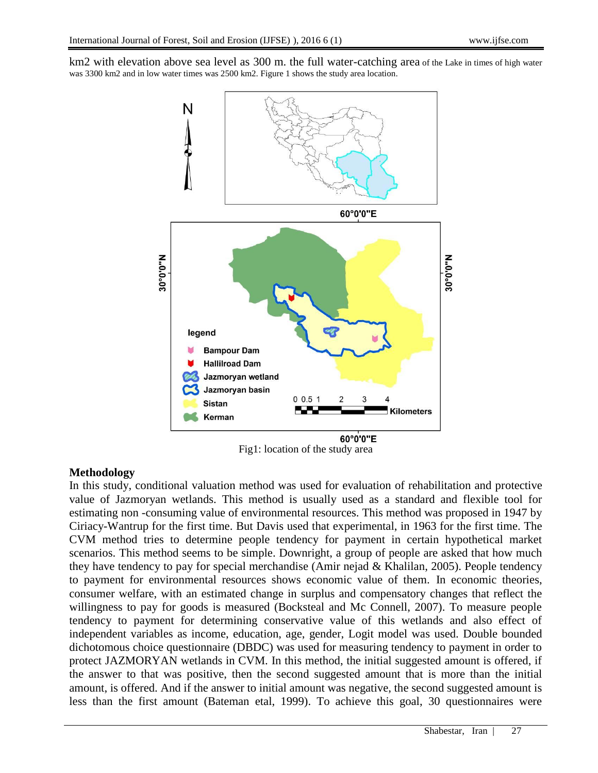km2 with elevation above sea level as 300 m. the full water-catching area of the Lake in times of high water was 3300 km2 and in low water times was 2500 km2. Figure 1 shows the study area location.



Fig1: location of the study area

### **Methodology**

In this study, conditional valuation method was used for evaluation of rehabilitation and protective value of Jazmoryan wetlands. This method is usually used as a standard and flexible tool for estimating non -consuming value of environmental resources. This method was proposed in 1947 by Ciriacy-Wantrup for the first time. But Davis used that experimental, in 1963 for the first time. The CVM method tries to determine people tendency for payment in certain hypothetical market scenarios. This method seems to be simple. Downright, a group of people are asked that how much they have tendency to pay for special merchandise (Amir nejad & Khalilan, 2005). People tendency to payment for environmental resources shows economic value of them. In economic theories, consumer welfare, with an estimated change in surplus and compensatory changes that reflect the willingness to pay for goods is measured (Bocksteal and Mc Connell, 2007). To measure people tendency to payment for determining conservative value of this wetlands and also effect of independent variables as income, education, age, gender, Logit model was used. Double bounded dichotomous choice questionnaire (DBDC) was used for measuring tendency to payment in order to protect JAZMORYAN wetlands in CVM. In this method, the initial suggested amount is offered, if the answer to that was positive, then the second suggested amount that is more than the initial amount, is offered. And if the answer to initial amount was negative, the second suggested amount is less than the first amount (Bateman etal, 1999). To achieve this goal, 30 questionnaires were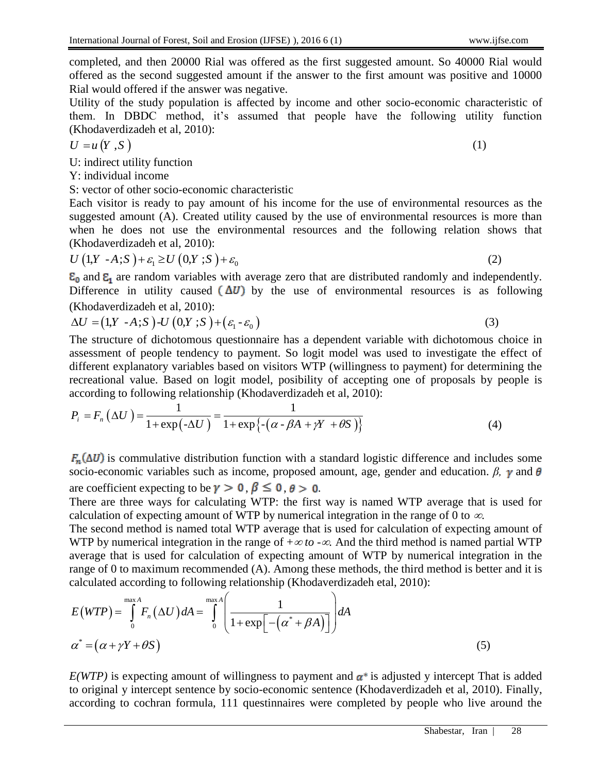completed, and then 20000 Rial was offered as the first suggested amount. So 40000 Rial would offered as the second suggested amount if the answer to the first amount was positive and 10000 Rial would offered if the answer was negative.

Utility of the study population is affected by income and other socio-economic characteristic of them. In DBDC method, it's assumed that people have the following utility function (Khodaverdizadeh et al, 2010):

$$
U = u(Y, S) \tag{1}
$$

U: indirect utility function

Y: individual income

S: vector of other socio-economic characteristic

Each visitor is ready to pay amount of his income for the use of environmental resources as the suggested amount (A). Created utility caused by the use of environmental resources is more than when he does not use the environmental resources and the following relation shows that (Khodaverdizadeh et al, 2010):<br>  $U(1,Y - A; S) + \varepsilon_1 \ge U(0,Y; S) + \varepsilon_0$  (2)

$$
U(1,Y-A;S') + \varepsilon_1 \ge U(0,Y;S') + \varepsilon_0
$$

 $\epsilon_0$  and  $\epsilon_1$  are random variables with average zero that are distributed randomly and independently. Difference in utility caused  $(\Delta U)$  by the use of environmental resources is as following

(Khodaverdizadeh et al, 2010):  
\n
$$
\Delta U = (1, Y - A; S) - U(0, Y; S) + (\varepsilon_1 - \varepsilon_0)
$$
\n(3)

The structure of dichotomous questionnaire has a dependent variable with dichotomous choice in assessment of people tendency to payment. So logit model was used to investigate the effect of different explanatory variables based on visitors WTP (willingness to payment) for determining the recreational value. Based on logit model, posibility of accepting one of proposals by people is according to following relationship (Khodaverdizadeh et al. 2010):<br>  $P_i = F_n(\Delta U) = \frac{1}{(1-\Delta U)(1-\Delta U)(1-\Delta U)(1-\Delta U)(1-\Delta U)}$ 

recretational value. Based on logit model, possibility of accepting one of proposals by p  
\naccording to following relationship (Khodaverdizedeh et al, 2010):

\n
$$
P_i = F_n \left(\Delta U\right) = \frac{1}{1 + \exp\{-\Delta U\}} = \frac{1}{1 + \exp\{-\left(\alpha - \beta A + \gamma Y + \theta S\right)\}}
$$
\n(4)

 $F_n(\Delta U)$  is commulative distribution function with a standard logistic difference and includes some socio-economic variables such as income, proposed amount, age, gender and education.  $\beta$ ,  $\gamma$  and  $\theta$ are coefficient expecting to be  $\gamma > 0$ ,  $\beta \le 0$ ,  $\theta > 0$ .

There are three ways for calculating WTP: the first way is named WTP average that is used for calculation of expecting amount of WTP by numerical integration in the range of 0 to  $\infty$ .

The second method is named total WTP average that is used for calculation of expecting amount of WTP by numerical integration in the range of +<sup>∞</sup> *to -*∞*.* And the third method is named partial WTP average that is used for calculation of expecting amount of WTP by numerical integration in the range of 0 to maximum recommended (A). Among these methods, the third method is better and it is calculated according to following relationship (Khodaverdizadeh etal, 2010):<br>  $E(WTP) = \int_{0}^{\max A} F_n(\Delta U) dA = \int_{0}^{\max A} \left( \frac{1}{1 + \$ 

calculated according to following relationship (Khodaverdizadeh etal, 2010): max max *A A E WTP F U dA dA <sup>n</sup>* \* 0 0 1 1 exp *<sup>A</sup>* \* *Y S* (5)

 $E(WTP)$  is expecting amount of willingness to payment and  $\alpha^*$  is adjusted y intercept That is added to original y intercept sentence by socio-economic sentence (Khodaverdizadeh et al, 2010). Finally, according to cochran formula, 111 questinnaires were completed by people who live around the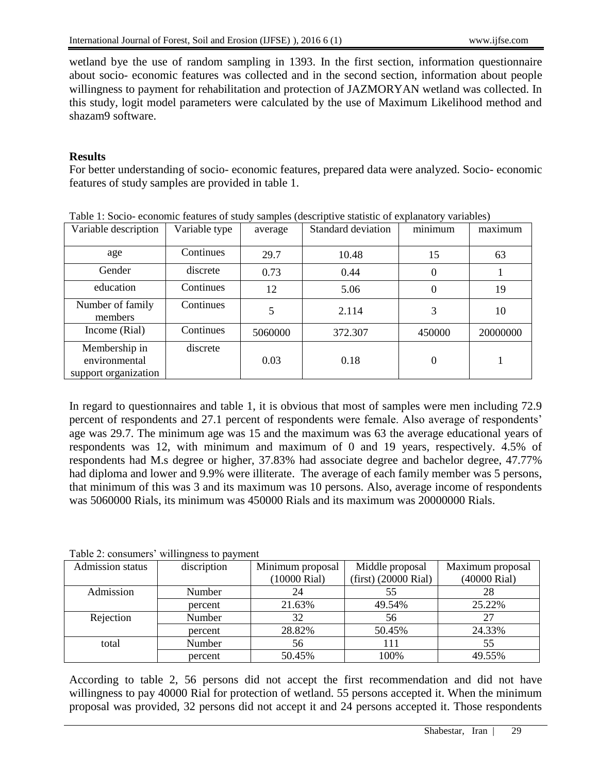wetland bye the use of random sampling in 1393. In the first section, information questionnaire about socio- economic features was collected and in the second section, information about people willingness to payment for rehabilitation and protection of JAZMORYAN wetland was collected. In this study, logit model parameters were calculated by the use of Maximum Likelihood method and shazam9 software.

## **Results**

For better understanding of socio- economic features, prepared data were analyzed. Socio- economic features of study samples are provided in table 1.

|                      |               |         |                    | <sub>.</sub> , |          |  |
|----------------------|---------------|---------|--------------------|----------------|----------|--|
| Variable description | Variable type | average | Standard deviation | minimum        | maximum  |  |
|                      |               |         |                    |                |          |  |
|                      |               |         |                    |                |          |  |
| age                  | Continues     | 29.7    | 10.48              | 15             | 63       |  |
| Gender               | discrete      | 0.73    | 0.44               | 0              |          |  |
|                      |               |         |                    |                |          |  |
| education            | Continues     | 12      | 5.06               | 0              | 19       |  |
|                      |               |         |                    |                |          |  |
| Number of family     | Continues     |         |                    |                |          |  |
| members              |               |         | 2.114              | 3              | 10       |  |
| Income (Rial)        | Continues     | 5060000 | 372.307            | 450000         | 20000000 |  |
|                      |               |         |                    |                |          |  |
| Membership in        | discrete      |         |                    |                |          |  |
| environmental        |               | 0.03    | 0.18               | 0              |          |  |
|                      |               |         |                    |                |          |  |
| support organization |               |         |                    |                |          |  |

|  |  | Table 1: Socio-economic features of study samples (descriptive statistic of explanatory variables) |
|--|--|----------------------------------------------------------------------------------------------------|
|  |  |                                                                                                    |

In regard to questionnaires and table 1, it is obvious that most of samples were men including 72.9 percent of respondents and 27.1 percent of respondents were female. Also average of respondents' age was 29.7. The minimum age was 15 and the maximum was 63 the average educational years of respondents was 12, with minimum and maximum of 0 and 19 years, respectively. 4.5% of respondents had M.s degree or higher, 37.83% had associate degree and bachelor degree, 47.77% had diploma and lower and 9.9% were illiterate. The average of each family member was 5 persons, that minimum of this was 3 and its maximum was 10 persons. Also, average income of respondents was 5060000 Rials, its minimum was 450000 Rials and its maximum was 20000000 Rials.

|                  | $1 \text{ and } 2.$ consumers whillighess to payment |                  |                        |                  |
|------------------|------------------------------------------------------|------------------|------------------------|------------------|
| Admission status | discription                                          | Minimum proposal | Middle proposal        | Maximum proposal |
|                  |                                                      | (10000 Rial)     | $(first)$ (20000 Rial) | (40000 Rial)     |
| Admission        | Number                                               | 24               |                        | 28               |
|                  | percent                                              | 21.63%           | 49.54%                 | 25.22%           |
| Rejection        | Number                                               | 32               | 56                     |                  |
|                  | percent                                              | 28.82%           | 50.45%                 | 24.33%           |
| total            | Number                                               | 56               | 11                     | 55               |
|                  | percent                                              | 50.45%           | 100%                   | 49.55%           |

#### Table 2: consumers' willingness to payment

According to table 2, 56 persons did not accept the first recommendation and did not have willingness to pay 40000 Rial for protection of wetland. 55 persons accepted it. When the minimum proposal was provided, 32 persons did not accept it and 24 persons accepted it. Those respondents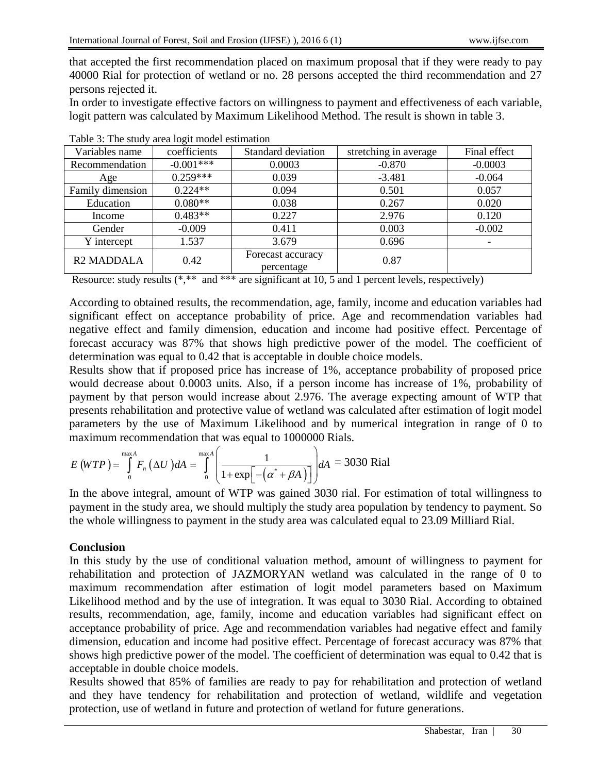that accepted the first recommendation placed on maximum proposal that if they were ready to pay 40000 Rial for protection of wetland or no. 28 persons accepted the third recommendation and 27 persons rejected it.

In order to investigate effective factors on willingness to payment and effectiveness of each variable, logit pattern was calculated by Maximum Likelihood Method. The result is shown in table 3.

| Variables name               | coefficients | Standard deviation              | stretching in average | Final effect |
|------------------------------|--------------|---------------------------------|-----------------------|--------------|
| Recommendation               | $-0.001***$  | 0.0003                          | $-0.870$              | $-0.0003$    |
| Age                          | $0.259***$   | 0.039                           | $-3.481$              | $-0.064$     |
| Family dimension             | $0.224**$    | 0.094                           | 0.501                 | 0.057        |
| Education                    | $0.080**$    | 0.038                           | 0.267                 | 0.020        |
| Income                       | $0.483**$    | 0.227                           | 2.976                 | 0.120        |
| Gender                       | $-0.009$     | 0.411                           | 0.003                 | $-0.002$     |
| Y intercept                  | 1.537        | 3.679                           | 0.696                 |              |
| <b>R<sub>2</sub> MADDALA</b> | 0.42         | Forecast accuracy<br>percentage | 0.87                  |              |

| Table 3: The study area logit model estimation |  |  |  |  |  |  |  |
|------------------------------------------------|--|--|--|--|--|--|--|
|------------------------------------------------|--|--|--|--|--|--|--|

Resource: study results (\*,\*\* and \*\*\* are significant at 10, 5 and 1 percent levels, respectively)

According to obtained results, the recommendation, age, family, income and education variables had significant effect on acceptance probability of price. Age and recommendation variables had negative effect and family dimension, education and income had positive effect. Percentage of forecast accuracy was 87% that shows high predictive power of the model. The coefficient of determination was equal to 0.42 that is acceptable in double choice models.

Results show that if proposed price has increase of 1%, acceptance probability of proposed price would decrease about 0.0003 units. Also, if a person income has increase of 1%, probability of payment by that person would increase about 2.976. The average expecting amount of WTP that presents rehabilitation and protective value of wetland was calculated after estimation of logit model parameters by the use of Maximum Likelihood and by numerical integration in range of 0 to<br>maximum recommendation that was equal to 1000000 Rials.<br> $E(WTP) = \int_{0}^{\text{max}A} F_n(\Delta U) dA = \int_{0}^{\text{max}A} \left( \frac{1}{1 + \exp[-(\alpha^* + \beta A)]} \right) dA = 3030$ ximum Likelihood and by n<br>t was equal to 1000000 Rials.<br> $\begin{pmatrix} 1 & 1 \end{pmatrix}$   $A = 30$ ?

maximum recommendation that was equal to 1000000 Rials.  
\n
$$
E (WTP) = \int_{0}^{\max A} F_n (\Delta U) dA = \int_{0}^{\max A} \left( \frac{1}{1 + \exp[-(\alpha^* + \beta A)]} \right) dA = 3030 \text{ Rial}
$$

In the above integral, amount of WTP was gained 3030 rial. For estimation of total willingness to payment in the study area, we should multiply the study area population by tendency to payment. So the whole willingness to payment in the study area was calculated equal to 23.09 Milliard Rial.

# **Conclusion**

In this study by the use of conditional valuation method, amount of willingness to payment for rehabilitation and protection of JAZMORYAN wetland was calculated in the range of 0 to maximum recommendation after estimation of logit model parameters based on Maximum Likelihood method and by the use of integration. It was equal to 3030 Rial. According to obtained results, recommendation, age, family, income and education variables had significant effect on acceptance probability of price. Age and recommendation variables had negative effect and family dimension, education and income had positive effect. Percentage of forecast accuracy was 87% that shows high predictive power of the model. The coefficient of determination was equal to 0.42 that is acceptable in double choice models.

Results showed that 85% of families are ready to pay for rehabilitation and protection of wetland and they have tendency for rehabilitation and protection of wetland, wildlife and vegetation protection, use of wetland in future and protection of wetland for future generations.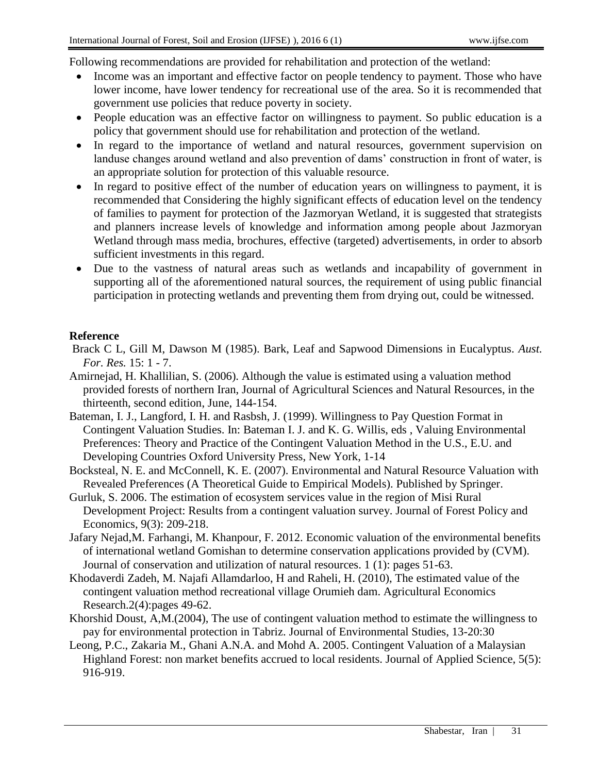Following recommendations are provided for rehabilitation and protection of the wetland:

- Income was an important and effective factor on people tendency to payment. Those who have lower income, have lower tendency for recreational use of the area. So it is recommended that government use policies that reduce poverty in society.
- People education was an effective factor on willingness to payment. So public education is a policy that government should use for rehabilitation and protection of the wetland.
- In regard to the importance of wetland and natural resources, government supervision on landuse changes around wetland and also prevention of dams' construction in front of water, is an appropriate solution for protection of this valuable resource.
- In regard to positive effect of the number of education years on willingness to payment, it is recommended that Considering the highly significant effects of education level on the tendency of families to payment for protection of the Jazmoryan Wetland, it is suggested that strategists and planners increase levels of knowledge and information among people about Jazmoryan Wetland through mass media, brochures, effective (targeted) advertisements, in order to absorb sufficient investments in this regard.
- Due to the vastness of natural areas such as wetlands and incapability of government in supporting all of the aforementioned natural sources, the requirement of using public financial participation in protecting wetlands and preventing them from drying out, could be witnessed.

## **Reference**

- Brack C L, Gill M, Dawson M (1985). Bark, Leaf and Sapwood Dimensions in Eucalyptus. *Aust. For. Res.* 15: 1 - 7.
- Amirnejad, H. Khallilian, S. (2006). Although the value is estimated using a valuation method provided forests of northern Iran, Journal of Agricultural Sciences and Natural Resources, in the thirteenth, second edition, June, 144-154.
- Bateman, I. J., Langford, I. H. and Rasbsh, J. (1999). Willingness to Pay Question Format in Contingent Valuation Studies. In: Bateman I. J. and K. G. Willis, eds , Valuing Environmental Preferences: Theory and Practice of the Contingent Valuation Method in the U.S., E.U. and Developing Countries Oxford University Press, New York, 1-14
- Bocksteal, N. E. and McConnell, K. E. (2007). Environmental and Natural Resource Valuation with Revealed Preferences (A Theoretical Guide to Empirical Models). Published by Springer.
- Gurluk, S. 2006. The estimation of ecosystem services value in the region of Misi Rural Development Project: Results from a contingent valuation survey. Journal of Forest Policy and Economics, 9(3): 209-218.
- Jafary Nejad,M. Farhangi, M. Khanpour, F. 2012. Economic valuation of the environmental benefits of international wetland Gomishan to determine conservation applications provided by (CVM). Journal of conservation and utilization of natural resources. 1 (1): pages 51-63.
- Khodaverdi Zadeh, M. Najafi Allamdarloo, H and Raheli, H. (2010), The estimated value of the contingent valuation method recreational village Orumieh dam. Agricultural Economics Research.2(4):pages 49-62.
- Khorshid Doust, A,M.(2004), The use of contingent valuation method to estimate the willingness to pay for environmental protection in Tabriz. Journal of Environmental Studies, 13-20:30
- Leong, P.C., Zakaria M., Ghani A.N.A. and Mohd A. 2005. Contingent Valuation of a Malaysian Highland Forest: non market benefits accrued to local residents. Journal of Applied Science, 5(5): 916-919.